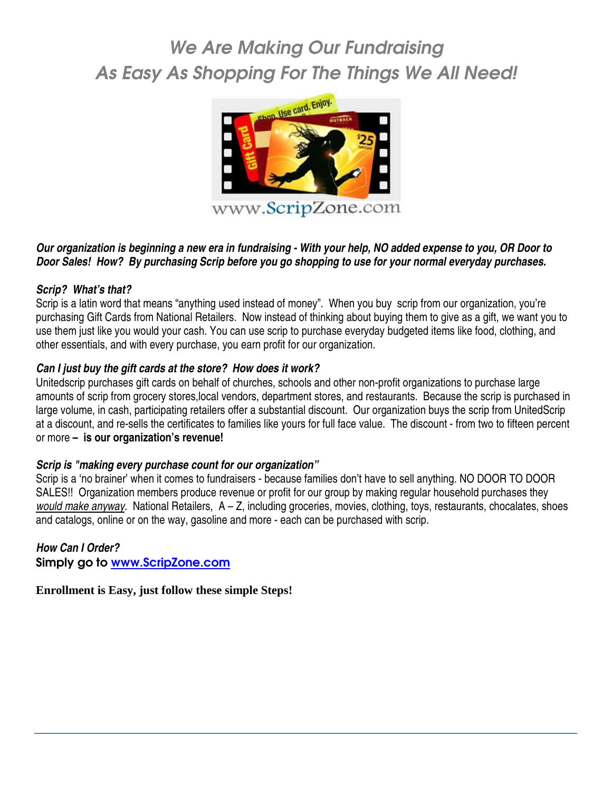# We Are Making Our Fundraising As Easy As Shopping For The Things We All Need!



### **Our organization is beginning a new era in fundraising - With your help, NO added expense to you, OR Door to Door Sales! How? By purchasing Scrip before you go shopping to use for your normal everyday purchases.**

#### **Scrip? What's that?**

Scrip is a latin word that means "anything used instead of money". When you buy scrip from our organization, you're purchasing Gift Cards from National Retailers. Now instead of thinking about buying them to give as a gift, we want you to use them just like you would your cash. You can use scrip to purchase everyday budgeted items like food, clothing, and other essentials, and with every purchase, you earn profit for our organization.

#### **Can I just buy the gift cards at the store? How does it work?**

Unitedscrip purchases gift cards on behalf of churches, schools and other non-profit organizations to purchase large amounts of scrip from grocery stores,local vendors, department stores, and restaurants. Because the scrip is purchased in large volume, in cash, participating retailers offer a substantial discount. Our organization buys the scrip from UnitedScrip at a discount, and re-sells the certificates to families like yours for full face value. The discount - from two to fifteen percent or more **– is our organization's revenue!** 

#### **Scrip is "making every purchase count for our organization"**

Scrip is a 'no brainer' when it comes to fundraisers - because families don't have to sell anything. NO DOOR TO DOOR SALES!! Organization members produce revenue or profit for our group by making regular household purchases they would make anyway. National Retailers, A – Z, including groceries, movies, clothing, toys, restaurants, chocalates, shoes and catalogs, online or on the way, gasoline and more - each can be purchased with scrip.

### **How Can I Order?**

Simply go to www.ScripZone.com

**Enrollment is Easy, just follow these simple Steps!**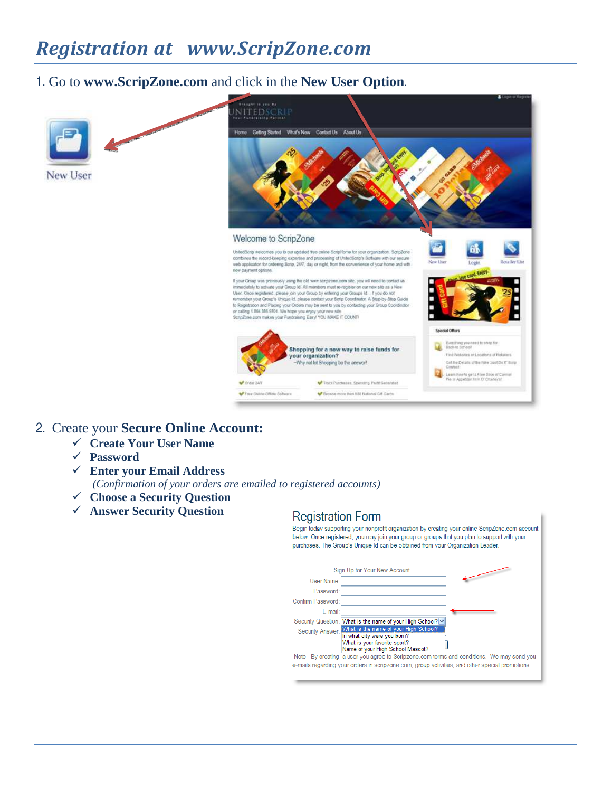# *Registration at www.ScripZone.com*

## 1. Go to **www.ScripZone.com** and click in the **New User Option**.



## 2. Create your **Secure Online Account:**

- **Create Your User Name**
- **Password**
- **Enter your Email Address**  *(Confirmation of your orders are emailed to registered accounts)*
- **Choose a Security Question**
- **Answer Security Question**

### **Registration Form**

Begin today supporting your nonprofit organization by creating your online ScripZone.com account below. Once registered, you may join your group or groups that you plan to support with your purchases. The Group's Unique Id can be obtained from your Organization Leader.

|                   | Sign Up for Your New Account                                                                                                                              |
|-------------------|-----------------------------------------------------------------------------------------------------------------------------------------------------------|
| User Name:        |                                                                                                                                                           |
| Password:         |                                                                                                                                                           |
| Confirm Password: |                                                                                                                                                           |
| E-mail:           |                                                                                                                                                           |
|                   | Security Question: What is the name of your High School? v                                                                                                |
|                   | Security Answer: What is the name of your High School?<br>In what city were you born?<br>What is your favorite sport?<br>Name of your High School Mascot? |
|                   | Note: By creating a user you agree to Scripzone.com terms and conditions. We may send you                                                                 |
|                   | e-mails regarding your orders in scripzone.com, group activities, and other special promotions.                                                           |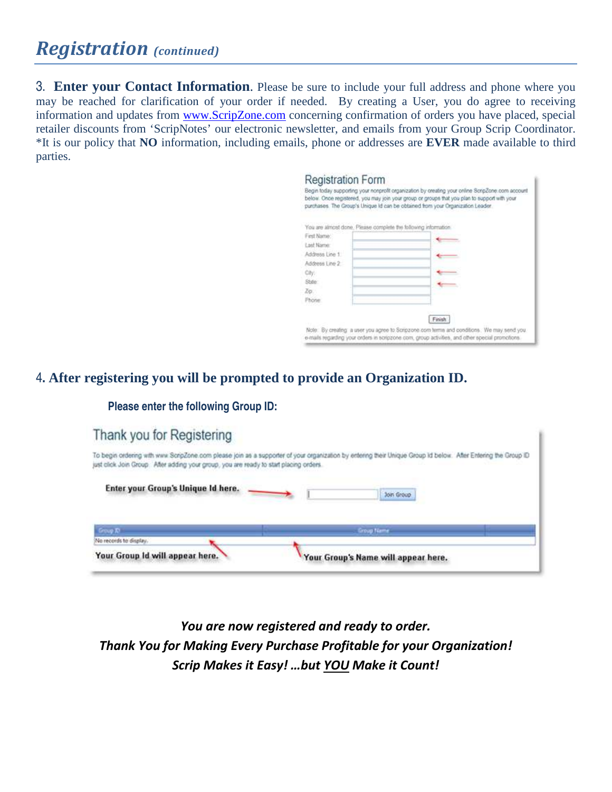## *Registration (continued)*

3. **Enter your Contact Information**. Please be sure to include your full address and phone where you may be reached for clarification of your order if needed. By creating a User, you do agree to receiving information and updates from www.ScripZone.com concerning confirmation of orders you have placed, special retailer discounts from 'ScripNotes' our electronic newsletter, and emails from your Group Scrip Coordinator. \*It is our policy that **NO** information, including emails, phone or addresses are **EVER** made available to third parties.

| <b>Registration Form</b>                                        | Begin today supporting your nonprofit organization by creating your online ScripZone.com account<br>below. Once registered, you may join your group or groups that you plan to support with your<br>purchases. The Group's Unique Id can be obtained from your Organization Leader. |
|-----------------------------------------------------------------|-------------------------------------------------------------------------------------------------------------------------------------------------------------------------------------------------------------------------------------------------------------------------------------|
| You are almost done. Please complete the following information. |                                                                                                                                                                                                                                                                                     |
| First Name:                                                     |                                                                                                                                                                                                                                                                                     |
| Lost Name:                                                      |                                                                                                                                                                                                                                                                                     |
| Address Line 1                                                  |                                                                                                                                                                                                                                                                                     |
| Address Line 2:                                                 |                                                                                                                                                                                                                                                                                     |
| City).                                                          |                                                                                                                                                                                                                                                                                     |
| State:                                                          |                                                                                                                                                                                                                                                                                     |
| Zo:                                                             |                                                                                                                                                                                                                                                                                     |
| Phone                                                           |                                                                                                                                                                                                                                                                                     |
|                                                                 |                                                                                                                                                                                                                                                                                     |
|                                                                 | Finish                                                                                                                                                                                                                                                                              |
|                                                                 | Note: By creating is user you agree to Scripzone com terms and conditions. We may send you.<br>e-mails regarding your orders in scripzone com, group activities, and other special promotions.                                                                                      |

## 4**. After registering you will be prompted to provide an Organization ID.**

**Please enter the following Group ID:** 

| Thank you for Registering                                                              |                                                                                                                                                               |
|----------------------------------------------------------------------------------------|---------------------------------------------------------------------------------------------------------------------------------------------------------------|
| just click Join Group. After adding your group, you are ready to start placing orders. | To begin ordering with www.ScripZone.com please join as a supporter of your organization by entering their Unique Group Id below. After Entering the Group ID |
| Enter your Group's Unique Id here.                                                     | Join Group                                                                                                                                                    |
| <b>Group XX</b>                                                                        | <b>Group Name</b>                                                                                                                                             |
| No records to display.<br>Your Group Id will appear here.                              | Your Group's Name will appear here.                                                                                                                           |

*You are now registered and ready to order. Thank You for Making Every Purchase Profitable for your Organization! Scrip Makes it Easy! …but YOU Make it Count!*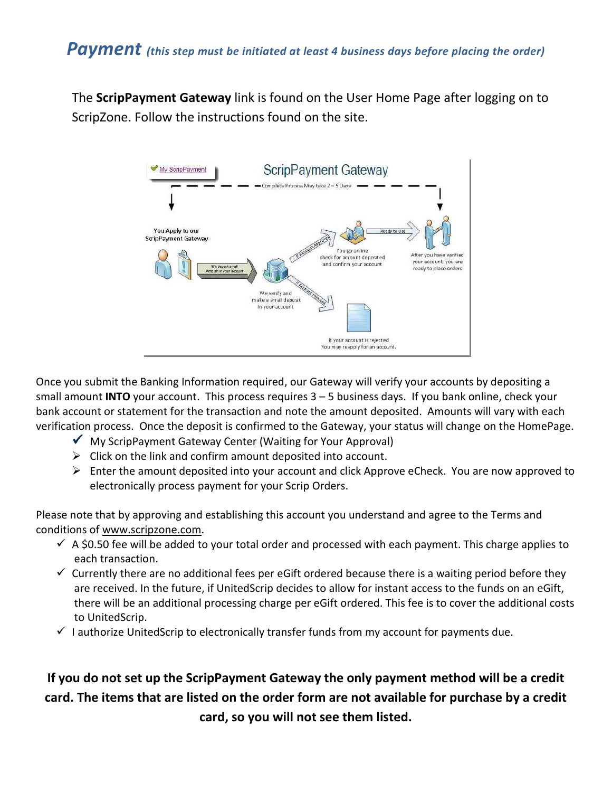The **ScripPayment Gateway** link is found on the User Home Page after logging on to ScripZone. Follow the instructions found on the site.



Once you submit the Banking Information required, our Gateway will verify your accounts by depositing a small amount **INTO** your account. This process requires 3 – 5 business days. If you bank online, check your bank account or statement for the transaction and note the amount deposited. Amounts will vary with each verification process. Once the deposit is confirmed to the Gateway, your status will change on the HomePage.

- $\checkmark$  My ScripPayment Gateway Center (Waiting for Your Approval)
- > Click on the link and confirm amount deposited into account.
- > Enter the amount deposited into your account and click Approve eCheck. You are now approved to electronically process payment for your Scrip Orders.

Please note that by approving and establishing this account you understand and agree to the Terms and conditions of www.scripzone.com.

- $\checkmark$  A \$0.50 fee will be added to your total order and processed with each payment. This charge applies to each transaction.
- $\checkmark$  Currently there are no additional fees per eGift ordered because there is a waiting period before they are received. In the future, if UnitedScrip decides to allow for instant access to the funds on an eGift, there will be an additional processing charge per eGift ordered. This fee is to cover the additional costs to UnitedScrip.
- $\checkmark$  I authorize UnitedScrip to electronically transfer funds from my account for payments due.

## **If you do not set up the ScripPayment Gateway the only payment method will be a credit card. The items that are listed on the order form are not available for purchase by a credit card, so you will not see them listed.**